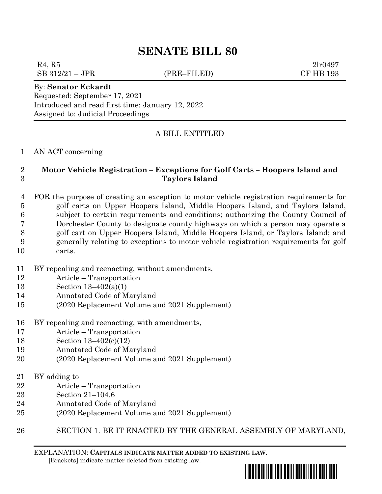# **SENATE BILL 80**

 $R_4, R_5$  2lr0497  $SB\ 312/21 - JPR$  (PRE–FILED) CF HB 193

## By: **Senator Eckardt**

Requested: September 17, 2021 Introduced and read first time: January 12, 2022 Assigned to: Judicial Proceedings

#### A BILL ENTITLED

#### AN ACT concerning

### **Motor Vehicle Registration – Exceptions for Golf Carts – Hoopers Island and Taylors Island**

 FOR the purpose of creating an exception to motor vehicle registration requirements for golf carts on Upper Hoopers Island, Middle Hoopers Island, and Taylors Island, subject to certain requirements and conditions; authorizing the County Council of Dorchester County to designate county highways on which a person may operate a golf cart on Upper Hoopers Island, Middle Hoopers Island, or Taylors Island; and generally relating to exceptions to motor vehicle registration requirements for golf carts.

- BY repealing and reenacting, without amendments,
- Article Transportation
- Section 13–402(a)(1)
- Annotated Code of Maryland
- (2020 Replacement Volume and 2021 Supplement)
- BY repealing and reenacting, with amendments,
- Article Transportation
- Section 13–402(c)(12)
- Annotated Code of Maryland
- (2020 Replacement Volume and 2021 Supplement)
- BY adding to
- Article Transportation
- Section 21–104.6
- Annotated Code of Maryland
- (2020 Replacement Volume and 2021 Supplement)
- SECTION 1. BE IT ENACTED BY THE GENERAL ASSEMBLY OF MARYLAND,

EXPLANATION: **CAPITALS INDICATE MATTER ADDED TO EXISTING LAW**.  **[**Brackets**]** indicate matter deleted from existing law.